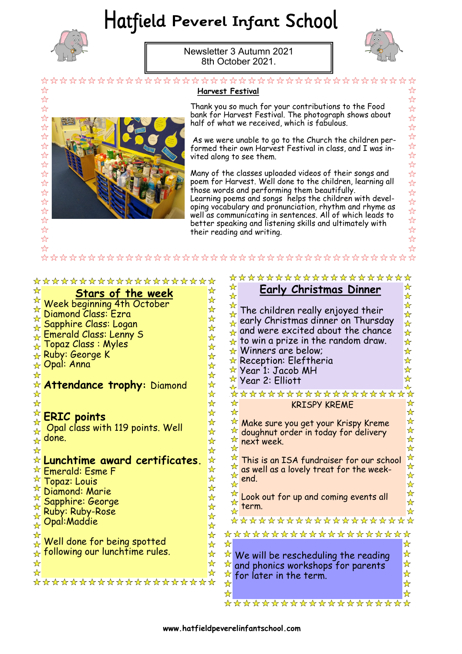# Hatfield Peverel Infant School



Newsletter 3 Autumn 2021 8th October 2021.



 $\frac{1}{2}$  $\overleftrightarrow{\mathcal{L}}$  $\overline{\mathcal{U}}$  $\overline{\mathcal{U}}$  $\frac{1}{2}$  $\frac{1}{2}$ 22年  $\frac{1}{2}$  $\frac{1}{2}$ 각 각 1  $\frac{1}{2}$ 

\*\*\*\*

 $\overleftrightarrow{\mathcal{L}}$  $\frac{1}{2}$ 

☆

☆ ☆

 $\frac{1}{\sqrt{2}}$ 

☆

☆

☆

 $\frac{\lambda}{\lambda}$ 

☆

☆

☆

 $\frac{1}{\sqrt{2}}$ 

☆

 $\frac{1}{\mathcal{N}}$ 

☆

 $\frac{1}{\sqrt{2}}$ 

 $\mathbf{\hat{x}}$ 

 $\frac{1}{2}$ 

 $\frac{1}{\sqrt{2}}$  $\frac{1}{\sqrt{2}}$ 

| ☆<br>$\frac{1}{2}$                                                    | <b>Harvest Festival</b>                                                                                                                                                                                                                                                                                                                                                                                                                          |
|-----------------------------------------------------------------------|--------------------------------------------------------------------------------------------------------------------------------------------------------------------------------------------------------------------------------------------------------------------------------------------------------------------------------------------------------------------------------------------------------------------------------------------------|
| ☆<br>$\frac{1}{2}$<br>$\frac{1}{2}$<br>$\frac{1}{2}$<br>☆             | Thank you so much for your contributions to the Food<br>bank for Harvest Festival. The photograph shows about<br>half of what we received, which is fabulous.<br>As we were unable to go to the Church the children per-<br>formed their own Harvest Festival in class, and I was in-                                                                                                                                                            |
| ☆                                                                     | vited along to see them.                                                                                                                                                                                                                                                                                                                                                                                                                         |
| ☆<br>☆<br>☆<br>☆<br>☆<br>☆<br>☆<br>$\overleftrightarrow{\mathcal{U}}$ | Many of the classes uploaded videos of their songs and<br>poem for Harvest. Well done to the children, learning all<br>those words and performing them beautifully.<br>Learning poems and songs helps the children with devel-<br>oping vocabulary and pronunciation, rhythm and rhyme as<br>well as communicating in sentences. All of which leads to<br>better speaking and listening skills and ultimately with<br>their reading and writing. |
| ☆                                                                     |                                                                                                                                                                                                                                                                                                                                                                                                                                                  |
| $\rightarrow$                                                         |                                                                                                                                                                                                                                                                                                                                                                                                                                                  |
|                                                                       |                                                                                                                                                                                                                                                                                                                                                                                                                                                  |
|                                                                       | ********************                                                                                                                                                                                                                                                                                                                                                                                                                             |
| ********************                                                  | ☆<br>☆                                                                                                                                                                                                                                                                                                                                                                                                                                           |
| ☆<br><u>Stars of the week</u>                                         | <b>Early Christmas Dinner</b><br>☆<br>$\mathbf{\hat{z}}$<br>☆<br>☆                                                                                                                                                                                                                                                                                                                                                                               |
| Week beginning 4th October                                            | $\frac{1}{\sqrt{2}}$<br>☆                                                                                                                                                                                                                                                                                                                                                                                                                        |
| Diamond Class: Ezra<br>☆                                              | The children really enjoyed their<br>$\mathbf{\hat{z}}$<br>☆<br>early Christmas dinner on Thursday                                                                                                                                                                                                                                                                                                                                               |
| Sapphire Class: Logan<br>$\star$                                      | ♣<br>$\frac{\lambda}{\lambda}$<br>$\frac{1}{\sqrt{2}}$<br>and were excited about the chance<br>╈                                                                                                                                                                                                                                                                                                                                                 |
| <b>Emerald Class: Lenny S</b><br>$\frac{\lambda}{\lambda}$            | $\frac{1}{\mathcal{N}}$<br>$\frac{1}{\sqrt{2}}$<br>$\star$ to win a prize in the random draw.<br>$\star$                                                                                                                                                                                                                                                                                                                                         |
| Topaz Class: Myles<br>☆                                               | ☆<br>☆<br>$\star$ Winners are below;                                                                                                                                                                                                                                                                                                                                                                                                             |
| Ruby: George K<br>$\star$                                             | $\frac{\lambda}{\lambda}$<br>$\mathbf{\hat{z}}$<br>$\star$ Reception: Eleftheria                                                                                                                                                                                                                                                                                                                                                                 |
| Opal: Anna<br>$\frac{1}{N}$<br>☆                                      | ☆<br>$\star$<br>$\star$ Year 1: Jacob MH<br>☆                                                                                                                                                                                                                                                                                                                                                                                                    |
| ☆ Attendance trophy: Diamond                                          | ☆<br>Year 2: Elliott<br>☆                                                                                                                                                                                                                                                                                                                                                                                                                        |
|                                                                       | ☆<br>*******************                                                                                                                                                                                                                                                                                                                                                                                                                         |
|                                                                       | ☆<br>☆<br><b>KRISPY KREME</b>                                                                                                                                                                                                                                                                                                                                                                                                                    |
| <b>ERIC points</b>                                                    | ☆<br>☆                                                                                                                                                                                                                                                                                                                                                                                                                                           |
|                                                                       |                                                                                                                                                                                                                                                                                                                                                                                                                                                  |

Opal class with 119 points. Well

Well done for being spotted following our lunchtime rules.

**Lunchtime award certificates.** 

\*\*\*\*\*\*\*\*\*\*\*\*\*\*\*\*\*\*\*

done.

☆

☆

 $\frac{1}{\mathcal{N}}$ 

☆

☆

☆

☆

☆

☆

☆

☆

☆

☆

☆

D

 $\frac{1}{\mathcal{N}}$ 

☆

Emerald: Esme F Topaz: Louis Diamond: Marie Sapphire: George Ruby: Ruby-Rose Opal:Maddie

Make sure you get your Krispy Kreme ☆ doughnut order in today for delivery ☆ next week. ☆

☆ This is an ISA fundraiser for our school ☆ as well as a lovely treat for the week-☆ end. ☆

\*\*\*\*\*\*\*\*\*\*\*\*\*\*\*\*\*\*\*\*

\*\*\*\*\*\*\*\*\*\*\*\*\*\*\*\*\*\*\*\*

<del>\*\*\*\*\*\*\*\*\*\*\*\*\*\*\*\*\*\*\*</del>

☆ Look out for up and coming events all ☆ term.

☆ We will be rescheduling the reading ☆ and phonics workshops for parents ☆ for later in the term. $\frac{1}{\sqrt{2}}$ 

☆

✬

 $\bigstar$ 

☆

 $\bigstar$ 

 $\frac{1}{\mathcal{N}}$ 

 $\star$ 

☆

 $\bigstar$ 

 $\bigstar$ 

☆

D

 $\star$ 

 $\star$ 

☆

☆

☆

 $\frac{1}{\sqrt{2}}$ 

 $\frac{1}{\sqrt{2}}$ 

☆